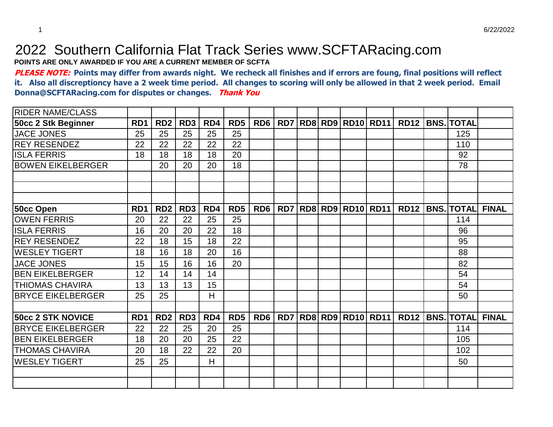## 2022 Southern California Flat Track Series www.SCFTARacing.com

**POINTS ARE ONLY AWARDED IF YOU ARE A CURRENT MEMBER OF SCFTA**

**PLEASE NOTE: Points may differ from awards night. We recheck all finishes and if errors are foung, final positions will reflect it. Also all discreptioncy have a 2 week time period. All changes to scoring will only be allowed in that 2 week period. Email Donna@SCFTARacing.com for disputes or changes. Thank You**

| <b>RIDER NAME/CLASS</b>   |                  |                 |                 |     |                 |                 |     |  |                          |                          |             |                   |              |
|---------------------------|------------------|-----------------|-----------------|-----|-----------------|-----------------|-----|--|--------------------------|--------------------------|-------------|-------------------|--------------|
| 50cc 2 Stk Beginner       | R <sub>D</sub> 1 | RD <sub>2</sub> | RD <sub>3</sub> | RD4 | RD <sub>5</sub> | RD <sub>6</sub> | RD7 |  |                          | <b>RD8 RD9 RD10 RD11</b> | <b>RD12</b> | <b>BNS. TOTAL</b> |              |
| <b>JACE JONES</b>         | 25               | 25              | 25              | 25  | 25              |                 |     |  |                          |                          |             | 125               |              |
| <b>REY RESENDEZ</b>       | 22               | 22              | 22              | 22  | 22              |                 |     |  |                          |                          |             | 110               |              |
| <b>ISLA FERRIS</b>        | 18               | 18              | 18              | 18  | 20              |                 |     |  |                          |                          |             | 92                |              |
| <b>BOWEN EIKELBERGER</b>  |                  | 20              | 20              | 20  | 18              |                 |     |  |                          |                          |             | 78                |              |
|                           |                  |                 |                 |     |                 |                 |     |  |                          |                          |             |                   |              |
|                           |                  |                 |                 |     |                 |                 |     |  |                          |                          |             |                   |              |
|                           |                  |                 |                 |     |                 |                 |     |  |                          |                          |             |                   |              |
| 50cc Open                 | R <sub>D</sub> 1 | RD <sub>2</sub> | RD <sub>3</sub> | RD4 | RD <sub>5</sub> | RD <sub>6</sub> | RD7 |  | <b>RD8 RD9 RD10 RD11</b> |                          | <b>RD12</b> | <b>BNS. TOTAL</b> | <b>FINAL</b> |
| <b>OWEN FERRIS</b>        | 20               | 22              | 22              | 25  | 25              |                 |     |  |                          |                          |             | 114               |              |
| <b>ISLA FERRIS</b>        | 16               | 20              | 20              | 22  | 18              |                 |     |  |                          |                          |             | 96                |              |
| <b>IREY RESENDEZ</b>      | 22               | 18              | 15              | 18  | 22              |                 |     |  |                          |                          |             | 95                |              |
| IWESLEY TIGERT            | 18               | 16              | 18              | 20  | 16              |                 |     |  |                          |                          |             | 88                |              |
| <b>JACE JONES</b>         | 15               | 15              | 16              | 16  | 20              |                 |     |  |                          |                          |             | 82                |              |
| <b>BEN EIKELBERGER</b>    | 12               | 14              | 14              | 14  |                 |                 |     |  |                          |                          |             | 54                |              |
| ITHIOMAS CHAVIRA          | 13               | 13              | 13              | 15  |                 |                 |     |  |                          |                          |             | 54                |              |
| <b>BRYCE EIKELBERGER</b>  | 25               | 25              |                 | Η   |                 |                 |     |  |                          |                          |             | 50                |              |
|                           |                  |                 |                 |     |                 |                 |     |  |                          |                          |             |                   |              |
| <b>50cc 2 STK NOVICE</b>  | RD1              | RD <sub>2</sub> | RD <sub>3</sub> | RD4 | RD <sub>5</sub> | RD <sub>6</sub> | RD7 |  |                          | <b>RD8 RD9 RD10 RD11</b> | <b>RD12</b> | <b>BNS. TOTAL</b> | <b>FINAL</b> |
| <b>IBRYCE EIKELBERGER</b> | 22               | 22              | 25              | 20  | 25              |                 |     |  |                          |                          |             | 114               |              |
| <b>BEN EIKELBERGER</b>    | 18               | 20              | 20              | 25  | 22              |                 |     |  |                          |                          |             | 105               |              |
| <b>THOMAS CHAVIRA</b>     | 20               | 18              | 22              | 22  | 20              |                 |     |  |                          |                          |             | 102               |              |
| <b>WESLEY TIGERT</b>      | 25               | 25              |                 | H   |                 |                 |     |  |                          |                          |             | 50                |              |
|                           |                  |                 |                 |     |                 |                 |     |  |                          |                          |             |                   |              |
|                           |                  |                 |                 |     |                 |                 |     |  |                          |                          |             |                   |              |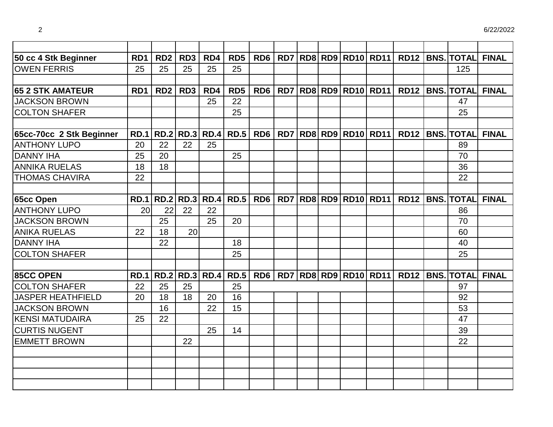| 50 cc 4 Stk Beginner     | R <sub>D</sub> 1 | RD <sub>2</sub>           | RD3              | RD <sub>4</sub>       | RD <sub>5</sub> | RD <sub>6</sub> |  |  | <b>RD7 RD8 RD9 RD10 RD11</b>  | <b>RD12</b> | <b>BNS. TOTAL</b>      | <b>FINAL</b> |
|--------------------------|------------------|---------------------------|------------------|-----------------------|-----------------|-----------------|--|--|-------------------------------|-------------|------------------------|--------------|
| <b>OWEN FERRIS</b>       | 25               | 25                        | 25               | 25                    | 25              |                 |  |  |                               |             | 125                    |              |
|                          |                  |                           |                  |                       |                 |                 |  |  |                               |             |                        |              |
| <b>65 2 STK AMATEUR</b>  | RD <sub>1</sub>  | RD <sub>2</sub>           | RD <sub>3</sub>  | RD4                   | RD <sub>5</sub> | RD <sub>6</sub> |  |  | RD7   RD8   RD9   RD10   RD11 |             | RD12   BNS. TOTAL      | <b>FINAL</b> |
| <b>JACKSON BROWN</b>     |                  |                           |                  | 25                    | 22              |                 |  |  |                               |             | 47                     |              |
| <b>COLTON SHAFER</b>     |                  |                           |                  |                       | 25              |                 |  |  |                               |             | 25                     |              |
|                          |                  |                           |                  |                       |                 |                 |  |  |                               |             |                        |              |
| 65cc-70cc 2 Stk Beginner |                  | RD.1   RD.2   RD.3   RD.4 |                  |                       | <b>RD.5</b>     | RD6             |  |  | RD7   RD8   RD9   RD10   RD11 |             | <b>RD12 BNS. TOTAL</b> | <b>FINAL</b> |
| <b>ANTHONY LUPO</b>      | 20               | 22                        | 22               | 25                    |                 |                 |  |  |                               |             | 89                     |              |
| <b>DANNY IHA</b>         | 25               | 20                        |                  |                       | 25              |                 |  |  |                               |             | 70                     |              |
| <b>ANNIKA RUELAS</b>     | 18               | 18                        |                  |                       |                 |                 |  |  |                               |             | 36                     |              |
| <b>THOMAS CHAVIRA</b>    | 22               |                           |                  |                       |                 |                 |  |  |                               |             | 22                     |              |
|                          |                  |                           |                  |                       |                 |                 |  |  |                               |             |                        |              |
| <b>65cc Open</b>         | <b>RD.1</b>      | <b>RD.2</b>               | <b>RD.3 RD.4</b> |                       | <b>RD.5</b>     | RD <sub>6</sub> |  |  | <b>RD7 RD8 RD9 RD10 RD11</b>  | <b>RD12</b> | <b>BNS. TOTAL</b>      | <b>FINAL</b> |
| <b>ANTHONY LUPO</b>      | 20               | 22                        | 22               | 22                    |                 |                 |  |  |                               |             | 86                     |              |
| <b>JACKSON BROWN</b>     |                  | 25                        |                  | 25                    | 20              |                 |  |  |                               |             | 70                     |              |
| <b>ANIKA RUELAS</b>      | 22               | 18                        | 20               |                       |                 |                 |  |  |                               |             | 60                     |              |
| <b>DANNY IHA</b>         |                  | 22                        |                  |                       | 18              |                 |  |  |                               |             | 40                     |              |
| <b>COLTON SHAFER</b>     |                  |                           |                  |                       | 25              |                 |  |  |                               |             | 25                     |              |
|                          |                  |                           |                  |                       |                 |                 |  |  |                               |             |                        |              |
| <b>85CC OPEN</b>         | <b>RD.1</b>      |                           |                  | <b>RD.2 RD.3 RD.4</b> | <b>RD.5</b>     | RD <sub>6</sub> |  |  | RD7   RD8   RD9   RD10   RD11 |             | <b>RD12 BNS. TOTAL</b> | <b>FINAL</b> |
| <b>COLTON SHAFER</b>     | 22               | 25                        | 25               |                       | 25              |                 |  |  |                               |             | 97                     |              |
| <b>JASPER HEATHFIELD</b> | 20               | 18                        | 18               | 20                    | 16              |                 |  |  |                               |             | 92                     |              |
| <b>JACKSON BROWN</b>     |                  | 16                        |                  | 22                    | 15              |                 |  |  |                               |             | 53                     |              |
| <b>KENSI MATUDAIRA</b>   | 25               | 22                        |                  |                       |                 |                 |  |  |                               |             | 47                     |              |
| <b>CURTIS NUGENT</b>     |                  |                           |                  | 25                    | 14              |                 |  |  |                               |             | 39                     |              |
| <b>EMMETT BROWN</b>      |                  |                           | 22               |                       |                 |                 |  |  |                               |             | 22                     |              |
|                          |                  |                           |                  |                       |                 |                 |  |  |                               |             |                        |              |
|                          |                  |                           |                  |                       |                 |                 |  |  |                               |             |                        |              |
|                          |                  |                           |                  |                       |                 |                 |  |  |                               |             |                        |              |
|                          |                  |                           |                  |                       |                 |                 |  |  |                               |             |                        |              |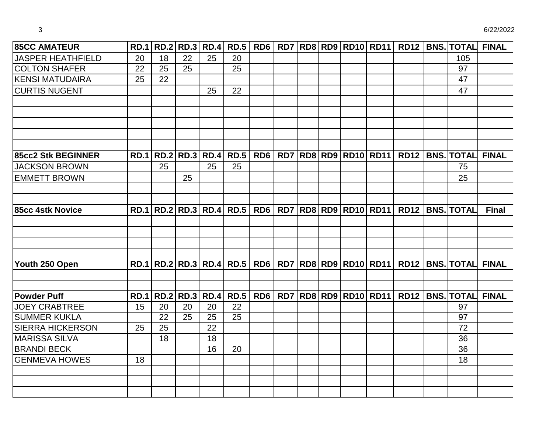| <b>85CC AMATEUR</b>       |             |    |    |                    |                                  |                 |  |                                        |  |                                       | RD.1 RD.2 RD.3 RD.4 RD.5 RD6 RD7 RD8 RD9 RD10 RD11 RD12 BNS. TOTAL FINAL |
|---------------------------|-------------|----|----|--------------------|----------------------------------|-----------------|--|----------------------------------------|--|---------------------------------------|--------------------------------------------------------------------------|
| JASPER HEATHFIELD         | 20          | 18 | 22 | 25                 | 20                               |                 |  |                                        |  | 105                                   |                                                                          |
| <b>COLTON SHAFER</b>      | 22          | 25 | 25 |                    | 25                               |                 |  |                                        |  | 97                                    |                                                                          |
| <b>KENSI MATUDAIRA</b>    | 25          | 22 |    |                    |                                  |                 |  |                                        |  | 47                                    |                                                                          |
| <b>CURTIS NUGENT</b>      |             |    |    | 25                 | 22                               |                 |  |                                        |  | 47                                    |                                                                          |
|                           |             |    |    |                    |                                  |                 |  |                                        |  |                                       |                                                                          |
|                           |             |    |    |                    |                                  |                 |  |                                        |  |                                       |                                                                          |
|                           |             |    |    |                    |                                  |                 |  |                                        |  |                                       |                                                                          |
|                           |             |    |    |                    |                                  |                 |  |                                        |  |                                       |                                                                          |
| <b>85cc2 Stk BEGINNER</b> | <b>RD.1</b> |    |    | RD.2   RD.3   RD.4 | <b>RD.5</b>                      | RD6             |  | <b>RD7   RD8   RD9   RD10   RD11  </b> |  | <b>RD12 BNS. TOTAL</b>                | <b>FINAL</b>                                                             |
| <b>JACKSON BROWN</b>      |             | 25 |    | 25                 | 25                               |                 |  |                                        |  | 75                                    |                                                                          |
| <b>EMMETT BROWN</b>       |             |    | 25 |                    |                                  |                 |  |                                        |  | 25                                    |                                                                          |
|                           |             |    |    |                    |                                  |                 |  |                                        |  |                                       |                                                                          |
|                           |             |    |    |                    |                                  |                 |  |                                        |  |                                       |                                                                          |
| 85cc 4stk Novice          |             |    |    |                    | RD.1   RD.2   RD.3   RD.4   RD.5 | R <sub>D6</sub> |  |                                        |  | RD7 RD8 RD9 RD10 RD11 RD12 BNS. TOTAL | <b>Final</b>                                                             |
|                           |             |    |    |                    |                                  |                 |  |                                        |  |                                       |                                                                          |
|                           |             |    |    |                    |                                  |                 |  |                                        |  |                                       |                                                                          |
|                           |             |    |    |                    |                                  |                 |  |                                        |  |                                       |                                                                          |
|                           |             |    |    |                    |                                  |                 |  |                                        |  |                                       |                                                                          |
| Youth 250 Open            | <b>RD.1</b> |    |    |                    | RD.2   RD.3   RD.4   RD.5        | RD <sub>6</sub> |  | RD7 RD8 RD9 RD10 RD11                  |  | RD12   BNS.   TOTAL                   | <b>FINAL</b>                                                             |
|                           |             |    |    |                    |                                  |                 |  |                                        |  |                                       |                                                                          |
| <b>Powder Puff</b>        | <b>RD.1</b> |    |    | RD.2   RD.3   RD.4 | <b>RD.5</b>                      | RD <sub>6</sub> |  |                                        |  | RD7 RD8 RD9 RD10 RD11 RD12 BNS. TOTAL | <b>FINAL</b>                                                             |
| <b>JOEY CRABTREE</b>      | 15          | 20 | 20 | 20                 | 22                               |                 |  |                                        |  | 97                                    |                                                                          |
| <b>SUMMER KUKLA</b>       |             | 22 | 25 | 25                 | 25                               |                 |  |                                        |  | 97                                    |                                                                          |
| <b>SIERRA HICKERSON</b>   | 25          | 25 |    | 22                 |                                  |                 |  |                                        |  | 72                                    |                                                                          |
| <b>MARISSA SILVA</b>      |             | 18 |    | 18                 |                                  |                 |  |                                        |  | 36                                    |                                                                          |
| <b>BRANDI BECK</b>        |             |    |    | 16                 | 20                               |                 |  |                                        |  | 36                                    |                                                                          |
| <b>GENMEVA HOWES</b>      | 18          |    |    |                    |                                  |                 |  |                                        |  | 18                                    |                                                                          |
|                           |             |    |    |                    |                                  |                 |  |                                        |  |                                       |                                                                          |
|                           |             |    |    |                    |                                  |                 |  |                                        |  |                                       |                                                                          |
|                           |             |    |    |                    |                                  |                 |  |                                        |  |                                       |                                                                          |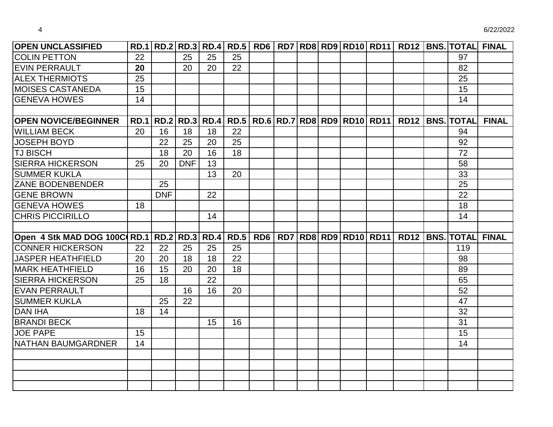| <b>OPEN UNCLASSIFIED</b>               |    |            |            |    |    |  |  |                                                                          |  | RD.1 RD.2 RD.3 RD.4 RD.5 RD6 RD7 RD8 RD9 RD10 RD11 RD12 BNS. TOTAL FINAL |              |
|----------------------------------------|----|------------|------------|----|----|--|--|--------------------------------------------------------------------------|--|--------------------------------------------------------------------------|--------------|
| <b>COLIN PETTON</b>                    | 22 |            | 25         | 25 | 25 |  |  |                                                                          |  | 97                                                                       |              |
| <b>EVIN PERRAULT</b>                   | 20 |            | 20         | 20 | 22 |  |  |                                                                          |  | 82                                                                       |              |
| <b>ALEX THERMIOTS</b>                  | 25 |            |            |    |    |  |  |                                                                          |  | 25                                                                       |              |
| <b>MOISES CASTANEDA</b>                | 15 |            |            |    |    |  |  |                                                                          |  | 15                                                                       |              |
| <b>GENEVA HOWES</b>                    | 14 |            |            |    |    |  |  |                                                                          |  | 14                                                                       |              |
|                                        |    |            |            |    |    |  |  |                                                                          |  |                                                                          |              |
| <b>OPEN NOVICE/BEGINNER</b>            |    |            |            |    |    |  |  | RD.1   RD.2   RD.3   RD.4   RD.5   RD.6   RD.7   RD8   RD9   RD10   RD11 |  | RD12   BNS. TOTAL                                                        | <b>FINAL</b> |
| <b>WILLIAM BECK</b>                    | 20 | 16         | 18         | 18 | 22 |  |  |                                                                          |  | 94                                                                       |              |
| <b>JOSEPH BOYD</b>                     |    | 22         | 25         | 20 | 25 |  |  |                                                                          |  | 92                                                                       |              |
| <b>TJ BISCH</b>                        |    | 18         | 20         | 16 | 18 |  |  |                                                                          |  | 72                                                                       |              |
| <b>SIERRA HICKERSON</b>                | 25 | 20         | <b>DNF</b> | 13 |    |  |  |                                                                          |  | 58                                                                       |              |
| <b>SUMMER KUKLA</b>                    |    |            |            | 13 | 20 |  |  |                                                                          |  | 33                                                                       |              |
| ZANE BODENBENDER                       |    | 25         |            |    |    |  |  |                                                                          |  | 25                                                                       |              |
| <b>GENE BROWN</b>                      |    | <b>DNF</b> |            | 22 |    |  |  |                                                                          |  | 22                                                                       |              |
| <b>GENEVA HOWES</b>                    | 18 |            |            |    |    |  |  |                                                                          |  | 18                                                                       |              |
| <b>CHRIS PICCIRILLO</b>                |    |            |            | 14 |    |  |  |                                                                          |  | 14                                                                       |              |
|                                        |    |            |            |    |    |  |  |                                                                          |  |                                                                          |              |
| Open 4 Stk MAD DOG 100C RD.1 RD.2 RD.3 |    |            |            |    |    |  |  | RD.4   RD.5   RD6   RD7   RD8   RD9   RD10   RD11                        |  | <b>RD12   BNS.   TOTAL</b>                                               | <b>FINAL</b> |
| <b>CONNER HICKERSON</b>                | 22 | 22         | 25         | 25 | 25 |  |  |                                                                          |  | 119                                                                      |              |
| <b>JASPER HEATHFIELD</b>               | 20 | 20         | 18         | 18 | 22 |  |  |                                                                          |  | 98                                                                       |              |
| <b>MARK HEATHFIELD</b>                 | 16 | 15         | 20         | 20 | 18 |  |  |                                                                          |  | 89                                                                       |              |
| <b>SIERRA HICKERSON</b>                | 25 | 18         |            | 22 |    |  |  |                                                                          |  | 65                                                                       |              |
| <b>EVAN PERRAULT</b>                   |    |            | 16         | 16 | 20 |  |  |                                                                          |  | 52                                                                       |              |
| <b>SUMMER KUKLA</b>                    |    | 25         | 22         |    |    |  |  |                                                                          |  | 47                                                                       |              |
| <b>DAN IHA</b>                         | 18 | 14         |            |    |    |  |  |                                                                          |  | 32                                                                       |              |
| <b>BRANDI BECK</b>                     |    |            |            | 15 | 16 |  |  |                                                                          |  | 31                                                                       |              |
| <b>JOE PAPE</b>                        | 15 |            |            |    |    |  |  |                                                                          |  | 15                                                                       |              |
| <b>NATHAN BAUMGARDNER</b>              | 14 |            |            |    |    |  |  |                                                                          |  | 14                                                                       |              |
|                                        |    |            |            |    |    |  |  |                                                                          |  |                                                                          |              |
|                                        |    |            |            |    |    |  |  |                                                                          |  |                                                                          |              |
|                                        |    |            |            |    |    |  |  |                                                                          |  |                                                                          |              |
|                                        |    |            |            |    |    |  |  |                                                                          |  |                                                                          |              |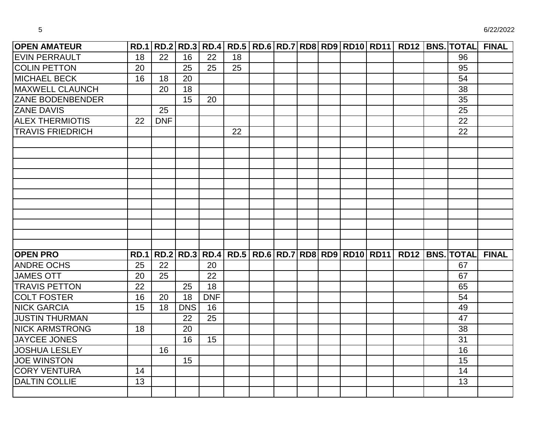| <b>OPEN AMATEUR</b>     |             |                 |            |            |    |  |  |                                                 |  | RD.1 RD.2 RD.3 RD.4 RD.5 RD.6 RD.7 RD8 RD9 RD10 RD11 RD12 BNS. TOTAL | <b>FINAL</b> |
|-------------------------|-------------|-----------------|------------|------------|----|--|--|-------------------------------------------------|--|----------------------------------------------------------------------|--------------|
| <b>EVIN PERRAULT</b>    | 18          | $\overline{22}$ | 16         | 22         | 18 |  |  |                                                 |  | 96                                                                   |              |
| <b>COLIN PETTON</b>     | 20          |                 | 25         | 25         | 25 |  |  |                                                 |  | 95                                                                   |              |
| <b>MICHAEL BECK</b>     | 16          | 18              | 20         |            |    |  |  |                                                 |  | 54                                                                   |              |
| <b>MAXWELL CLAUNCH</b>  |             | 20              | 18         |            |    |  |  |                                                 |  | 38                                                                   |              |
| <b>ZANE BODENBENDER</b> |             |                 | 15         | 20         |    |  |  |                                                 |  | 35                                                                   |              |
| <b>ZANE DAVIS</b>       |             | 25              |            |            |    |  |  |                                                 |  | 25                                                                   |              |
| <b>ALEX THERMIOTIS</b>  | 22          | <b>DNF</b>      |            |            |    |  |  |                                                 |  | 22                                                                   |              |
| <b>TRAVIS FRIEDRICH</b> |             |                 |            |            | 22 |  |  |                                                 |  | 22                                                                   |              |
|                         |             |                 |            |            |    |  |  |                                                 |  |                                                                      |              |
|                         |             |                 |            |            |    |  |  |                                                 |  |                                                                      |              |
|                         |             |                 |            |            |    |  |  |                                                 |  |                                                                      |              |
|                         |             |                 |            |            |    |  |  |                                                 |  |                                                                      |              |
|                         |             |                 |            |            |    |  |  |                                                 |  |                                                                      |              |
|                         |             |                 |            |            |    |  |  |                                                 |  |                                                                      |              |
|                         |             |                 |            |            |    |  |  |                                                 |  |                                                                      |              |
|                         |             |                 |            |            |    |  |  |                                                 |  |                                                                      |              |
|                         |             |                 |            |            |    |  |  |                                                 |  |                                                                      |              |
|                         |             |                 |            |            |    |  |  |                                                 |  |                                                                      |              |
| <b>OPEN PRO</b>         | <b>RD.1</b> |                 |            |            |    |  |  | RD.2 RD.3 RD.4 RD.5 RD.6 RD.7 RD8 RD9 RD10 RD11 |  | RD12   BNS.   TOTAL                                                  | <b>FINAL</b> |
| <b>ANDRE OCHS</b>       | 25          | 22              |            | 20         |    |  |  |                                                 |  | 67                                                                   |              |
| <b>JAMES OTT</b>        | 20          | 25              |            | 22         |    |  |  |                                                 |  | 67                                                                   |              |
| <b>TRAVIS PETTON</b>    | 22          |                 | 25         | 18         |    |  |  |                                                 |  | 65                                                                   |              |
| <b>COLT FOSTER</b>      | 16          | 20              | 18         | <b>DNF</b> |    |  |  |                                                 |  | 54                                                                   |              |
| <b>NICK GARCIA</b>      | 15          | 18              | <b>DNS</b> | 16         |    |  |  |                                                 |  | 49                                                                   |              |
| <b>JUSTIN THURMAN</b>   |             |                 | 22         | 25         |    |  |  |                                                 |  | 47                                                                   |              |
| <b>NICK ARMSTRONG</b>   | 18          |                 | 20         |            |    |  |  |                                                 |  | 38                                                                   |              |
| JAYCEE JONES            |             |                 | 16         | 15         |    |  |  |                                                 |  | 31                                                                   |              |
| <b>JOSHUA LESLEY</b>    |             | 16              |            |            |    |  |  |                                                 |  | 16                                                                   |              |
| <b>JOE WINSTON</b>      |             |                 | 15         |            |    |  |  |                                                 |  | 15                                                                   |              |
| <b>CORY VENTURA</b>     | 14          |                 |            |            |    |  |  |                                                 |  | 14                                                                   |              |
| <b>DALTIN COLLIE</b>    | 13          |                 |            |            |    |  |  |                                                 |  | 13                                                                   |              |
|                         |             |                 |            |            |    |  |  |                                                 |  |                                                                      |              |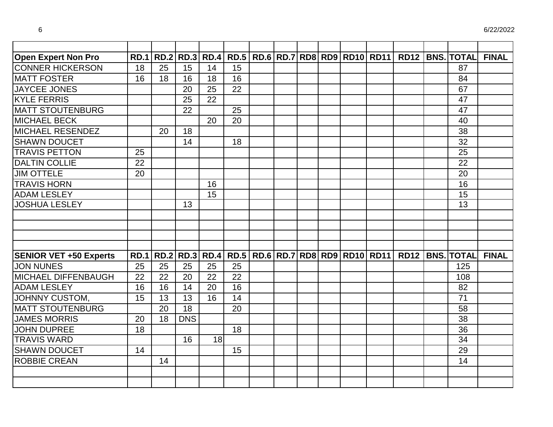| <b>Open Expert Non Pro</b>    | <b>RD.1</b> |    |            | <b>RD.2 RD.3 RD.4</b> |    |  |  | RD.5   RD.6   RD.7   RD8   RD9   RD10   RD11                      | <b>RD12</b> | <b>BNS. TOTAL</b>   | <b>FINAL</b> |
|-------------------------------|-------------|----|------------|-----------------------|----|--|--|-------------------------------------------------------------------|-------------|---------------------|--------------|
| <b>CONNER HICKERSON</b>       | 18          | 25 | 15         | 14                    | 15 |  |  |                                                                   |             | 87                  |              |
| <b>MATT FOSTER</b>            | 16          | 18 | 16         | 18                    | 16 |  |  |                                                                   |             | 84                  |              |
| <b>JAYCEE JONES</b>           |             |    | 20         | 25                    | 22 |  |  |                                                                   |             | 67                  |              |
| <b>KYLE FERRIS</b>            |             |    | 25         | 22                    |    |  |  |                                                                   |             | 47                  |              |
| <b>MATT STOUTENBURG</b>       |             |    | 22         |                       | 25 |  |  |                                                                   |             | 47                  |              |
| <b>MICHAEL BECK</b>           |             |    |            | 20                    | 20 |  |  |                                                                   |             | 40                  |              |
| <b>MICHAEL RESENDEZ</b>       |             | 20 | 18         |                       |    |  |  |                                                                   |             | 38                  |              |
| <b>SHAWN DOUCET</b>           |             |    | 14         |                       | 18 |  |  |                                                                   |             | 32                  |              |
| <b>TRAVIS PETTON</b>          | 25          |    |            |                       |    |  |  |                                                                   |             | 25                  |              |
| <b>DALTIN COLLIE</b>          | 22          |    |            |                       |    |  |  |                                                                   |             | 22                  |              |
| <b>JIM OTTELE</b>             | 20          |    |            |                       |    |  |  |                                                                   |             | 20                  |              |
| <b>TRAVIS HORN</b>            |             |    |            | 16                    |    |  |  |                                                                   |             | 16                  |              |
| <b>ADAM LESLEY</b>            |             |    |            | 15                    |    |  |  |                                                                   |             | 15                  |              |
| <b>JOSHUA LESLEY</b>          |             |    | 13         |                       |    |  |  |                                                                   |             | 13                  |              |
|                               |             |    |            |                       |    |  |  |                                                                   |             |                     |              |
|                               |             |    |            |                       |    |  |  |                                                                   |             |                     |              |
|                               |             |    |            |                       |    |  |  |                                                                   |             |                     |              |
|                               |             |    |            |                       |    |  |  |                                                                   |             |                     |              |
| <b>SENIOR VET +50 Experts</b> | <b>RD.1</b> |    |            |                       |    |  |  | RD.2   RD.3   RD.4   RD.5   RD.6   RD.7   RD8   RD9   RD10   RD11 |             | RD12   BNS.   TOTAL | <b>FINAL</b> |
| <b>JON NUNES</b>              | 25          | 25 | 25         | 25                    | 25 |  |  |                                                                   |             | 125                 |              |
| MICHAEL DIFFENBAUGH           | 22          | 22 | 20         | 22                    | 22 |  |  |                                                                   |             | 108                 |              |
| <b>ADAM LESLEY</b>            | 16          | 16 | 14         | 20                    | 16 |  |  |                                                                   |             | 82                  |              |
| JOHNNY CUSTOM,                | 15          | 13 | 13         | 16                    | 14 |  |  |                                                                   |             | 71                  |              |
| <b>MATT STOUTENBURG</b>       |             | 20 | 18         |                       | 20 |  |  |                                                                   |             | 58                  |              |
| <b>JAMES MORRIS</b>           | 20          | 18 | <b>DNS</b> |                       |    |  |  |                                                                   |             | 38                  |              |
| <b>JOHN DUPREE</b>            | 18          |    |            |                       | 18 |  |  |                                                                   |             | 36                  |              |
| <b>TRAVIS WARD</b>            |             |    | 16         | 18                    |    |  |  |                                                                   |             | 34                  |              |
| <b>SHAWN DOUCET</b>           | 14          |    |            |                       | 15 |  |  |                                                                   |             | 29                  |              |
| <b>ROBBIE CREAN</b>           |             | 14 |            |                       |    |  |  |                                                                   |             | 14                  |              |
|                               |             |    |            |                       |    |  |  |                                                                   |             |                     |              |
|                               |             |    |            |                       |    |  |  |                                                                   |             |                     |              |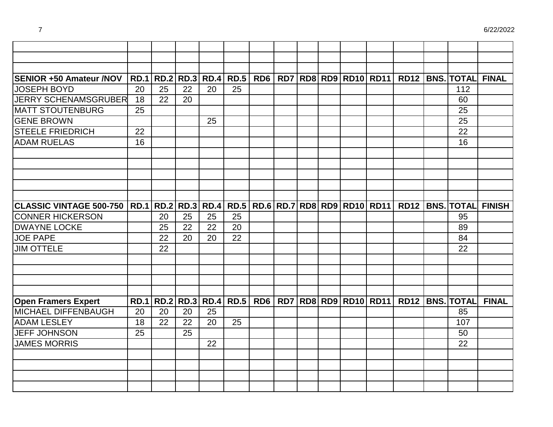| <b>SENIOR +50 Amateur /NOV</b>                        |    |    |    |    | RD.1 RD.2 RD.3 RD.4 RD.5 |  |  | RD6   RD7   RD8   RD9   RD10   RD11                                    |  | RD12   BNS.   TOTAL | <b>FINAL</b>                  |
|-------------------------------------------------------|----|----|----|----|--------------------------|--|--|------------------------------------------------------------------------|--|---------------------|-------------------------------|
| <b>JOSEPH BOYD</b>                                    | 20 | 25 | 22 | 20 | 25                       |  |  |                                                                        |  | 112                 |                               |
| <b>JERRY SCHENAMSGRUBER</b>                           | 18 | 22 | 20 |    |                          |  |  |                                                                        |  | 60                  |                               |
| <b>MATT STOUTENBURG</b>                               | 25 |    |    |    |                          |  |  |                                                                        |  | 25                  |                               |
| <b>GENE BROWN</b>                                     |    |    |    | 25 |                          |  |  |                                                                        |  | 25                  |                               |
| <b>STEELE FRIEDRICH</b>                               | 22 |    |    |    |                          |  |  |                                                                        |  | 22                  |                               |
| <b>ADAM RUELAS</b>                                    | 16 |    |    |    |                          |  |  |                                                                        |  | 16                  |                               |
|                                                       |    |    |    |    |                          |  |  |                                                                        |  |                     |                               |
|                                                       |    |    |    |    |                          |  |  |                                                                        |  |                     |                               |
|                                                       |    |    |    |    |                          |  |  |                                                                        |  |                     |                               |
|                                                       |    |    |    |    |                          |  |  |                                                                        |  |                     |                               |
|                                                       |    |    |    |    |                          |  |  |                                                                        |  |                     |                               |
| <b>CLASSIC VINTAGE 500-750   RD.1   RD.2   RD.3  </b> |    |    |    |    |                          |  |  | RD.4   RD.5   RD.6   RD.7   RD8   RD9   RD10   RD11                    |  |                     | <b>RD12 BNS. TOTAL FINISH</b> |
| <b>CONNER HICKERSON</b>                               |    | 20 | 25 | 25 | 25                       |  |  |                                                                        |  | 95                  |                               |
| <b>DWAYNE LOCKE</b>                                   |    | 25 | 22 | 22 | 20                       |  |  |                                                                        |  | 89                  |                               |
| <b>JOE PAPE</b>                                       |    | 22 | 20 | 20 | 22                       |  |  |                                                                        |  | 84                  |                               |
| <b>JIM OTTELE</b>                                     |    | 22 |    |    |                          |  |  |                                                                        |  | 22                  |                               |
|                                                       |    |    |    |    |                          |  |  |                                                                        |  |                     |                               |
|                                                       |    |    |    |    |                          |  |  |                                                                        |  |                     |                               |
|                                                       |    |    |    |    |                          |  |  |                                                                        |  |                     |                               |
|                                                       |    |    |    |    |                          |  |  |                                                                        |  |                     |                               |
| <b>Open Framers Expert</b>                            |    |    |    |    |                          |  |  | RD.1   RD.2   RD.3   RD.4   RD.5   RD6   RD7   RD8   RD9   RD10   RD11 |  | RD12   BNS.   TOTAL | <b>FINAL</b>                  |
| MICHAEL DIFFENBAUGH                                   | 20 | 20 | 20 | 25 |                          |  |  |                                                                        |  | 85                  |                               |
| <b>ADAM LESLEY</b>                                    | 18 | 22 | 22 | 20 | 25                       |  |  |                                                                        |  | 107                 |                               |
| <b>JEFF JOHNSON</b>                                   | 25 |    | 25 |    |                          |  |  |                                                                        |  | 50                  |                               |
| <b>JAMES MORRIS</b>                                   |    |    |    | 22 |                          |  |  |                                                                        |  | 22                  |                               |
|                                                       |    |    |    |    |                          |  |  |                                                                        |  |                     |                               |
|                                                       |    |    |    |    |                          |  |  |                                                                        |  |                     |                               |
|                                                       |    |    |    |    |                          |  |  |                                                                        |  |                     |                               |
|                                                       |    |    |    |    |                          |  |  |                                                                        |  |                     |                               |
|                                                       |    |    |    |    |                          |  |  |                                                                        |  |                     |                               |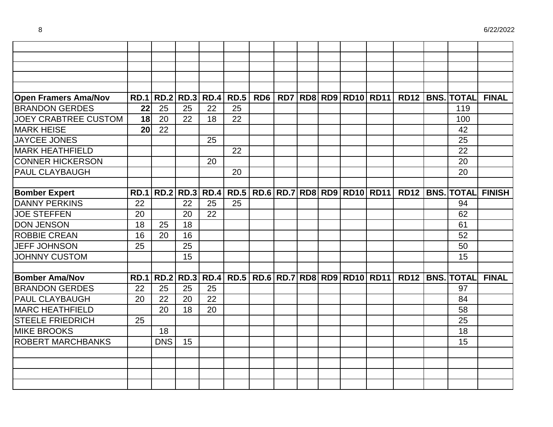| <b>Open Framers Ama/Nov</b> | <b>RD.1</b> |            |                  |    | RD.2   RD.3   RD.4   RD.5 |  |  | RD6   RD7   RD8   RD9   RD10   RD11                 |  | RD12   BNS.   TOTAL    | <b>FINAL</b>                  |
|-----------------------------|-------------|------------|------------------|----|---------------------------|--|--|-----------------------------------------------------|--|------------------------|-------------------------------|
| <b>BRANDON GERDES</b>       | 22          | 25         | 25               | 22 | 25                        |  |  |                                                     |  | 119                    |                               |
| <b>JOEY CRABTREE CUSTOM</b> | 18          | 20         | 22               | 18 | 22                        |  |  |                                                     |  | 100                    |                               |
| <b>MARK HEISE</b>           | 20          | 22         |                  |    |                           |  |  |                                                     |  | 42                     |                               |
| <b>JAYCEE JONES</b>         |             |            |                  | 25 |                           |  |  |                                                     |  | 25                     |                               |
| <b>MARK HEATHFIELD</b>      |             |            |                  |    | 22                        |  |  |                                                     |  | 22                     |                               |
| <b>CONNER HICKERSON</b>     |             |            |                  | 20 |                           |  |  |                                                     |  | 20                     |                               |
| PAUL CLAYBAUGH              |             |            |                  |    | 20                        |  |  |                                                     |  | 20                     |                               |
|                             |             |            |                  |    |                           |  |  |                                                     |  |                        |                               |
| <b>Bomber Expert</b>        | <b>RD.1</b> |            | RD.2   RD.3      |    |                           |  |  | RD.4   RD.5   RD.6   RD.7   RD8   RD9   RD10   RD11 |  |                        | <b>RD12 BNS. TOTAL FINISH</b> |
| <b>DANNY PERKINS</b>        | 22          |            | 22               | 25 | 25                        |  |  |                                                     |  | 94                     |                               |
| <b>JOE STEFFEN</b>          | 20          |            | 20               | 22 |                           |  |  |                                                     |  | 62                     |                               |
| <b>DON JENSON</b>           | 18          | 25         | 18               |    |                           |  |  |                                                     |  | 61                     |                               |
| <b>ROBBIE CREAN</b>         | 16          | 20         | 16               |    |                           |  |  |                                                     |  | 52                     |                               |
| <b>JEFF JOHNSON</b>         | 25          |            | 25               |    |                           |  |  |                                                     |  | 50                     |                               |
| <b>JOHNNY CUSTOM</b>        |             |            | 15               |    |                           |  |  |                                                     |  | 15                     |                               |
|                             |             |            |                  |    |                           |  |  |                                                     |  |                        |                               |
| <b>Bomber Ama/Nov</b>       | <b>RD.1</b> |            | <b>RD.2 RD.3</b> |    |                           |  |  | RD.4   RD.5   RD.6   RD.7   RD8   RD9   RD10   RD11 |  | <b>RD12 BNS. TOTAL</b> | <b>FINAL</b>                  |
| <b>BRANDON GERDES</b>       | 22          | 25         | 25               | 25 |                           |  |  |                                                     |  | 97                     |                               |
| PAUL CLAYBAUGH              | 20          | 22         | 20               | 22 |                           |  |  |                                                     |  | 84                     |                               |
| <b>MARC HEATHFIELD</b>      |             | 20         | 18               | 20 |                           |  |  |                                                     |  | 58                     |                               |
| <b>STEELE FRIEDRICH</b>     | 25          |            |                  |    |                           |  |  |                                                     |  | 25                     |                               |
| <b>MIKE BROOKS</b>          |             | 18         |                  |    |                           |  |  |                                                     |  | 18                     |                               |
| <b>ROBERT MARCHBANKS</b>    |             | <b>DNS</b> | 15               |    |                           |  |  |                                                     |  | 15                     |                               |
|                             |             |            |                  |    |                           |  |  |                                                     |  |                        |                               |
|                             |             |            |                  |    |                           |  |  |                                                     |  |                        |                               |
|                             |             |            |                  |    |                           |  |  |                                                     |  |                        |                               |
|                             |             |            |                  |    |                           |  |  |                                                     |  |                        |                               |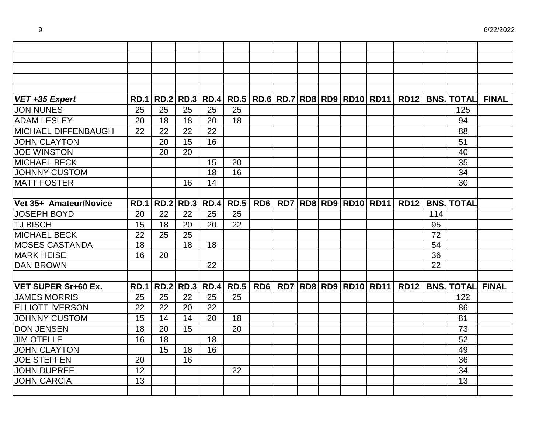| VET +35 Expert             | <b>RD.1</b> |             |             |                  |             |     |  |  |                                     | RD.2 RD.3 RD.4 RD.5 RD.6 RD.7 RD8 RD9 RD10 RD11 RD12 BNS. TOTAL |     |                   | <b>FINAL</b> |
|----------------------------|-------------|-------------|-------------|------------------|-------------|-----|--|--|-------------------------------------|-----------------------------------------------------------------|-----|-------------------|--------------|
| <b>JON NUNES</b>           | 25          | 25          | 25          | 25               | 25          |     |  |  |                                     |                                                                 |     | 125               |              |
| <b>ADAM LESLEY</b>         | 20          | 18          | 18          | 20               | 18          |     |  |  |                                     |                                                                 |     | 94                |              |
| MICHAEL DIFFENBAUGH        | 22          | 22          | 22          | 22               |             |     |  |  |                                     |                                                                 |     | 88                |              |
| <b>JOHN CLAYTON</b>        |             | 20          | 15          | 16               |             |     |  |  |                                     |                                                                 |     | 51                |              |
| <b>JOE WINSTON</b>         |             | 20          | 20          |                  |             |     |  |  |                                     |                                                                 |     | 40                |              |
| <b>MICHAEL BECK</b>        |             |             |             | 15               | 20          |     |  |  |                                     |                                                                 |     | 35                |              |
| <b>JOHNNY CUSTOM</b>       |             |             |             | 18               | 16          |     |  |  |                                     |                                                                 |     | 34                |              |
| <b>MATT FOSTER</b>         |             |             | 16          | 14               |             |     |  |  |                                     |                                                                 |     | 30                |              |
|                            |             |             |             |                  |             |     |  |  |                                     |                                                                 |     |                   |              |
| Vet 35+ Amateur/Novice     | <b>RD.1</b> | <b>RD.2</b> |             | <b>RD.3 RD.4</b> | <b>RD.5</b> | RD6 |  |  | <b>RD7 RD8 RD9 RD10 RD11</b>        | <b>RD12</b>                                                     |     | <b>BNS. TOTAL</b> |              |
| <b>JOSEPH BOYD</b>         | 20          | 22          | 22          | 25               | 25          |     |  |  |                                     |                                                                 | 114 |                   |              |
| <b>TJ BISCH</b>            | 15          | 18          | 20          | 20               | 22          |     |  |  |                                     |                                                                 | 95  |                   |              |
| <b>MICHAEL BECK</b>        | 22          | 25          | 25          |                  |             |     |  |  |                                     |                                                                 | 72  |                   |              |
| <b>MOSES CASTANDA</b>      | 18          |             | 18          | 18               |             |     |  |  |                                     |                                                                 | 54  |                   |              |
| <b>MARK HEISE</b>          | 16          | 20          |             |                  |             |     |  |  |                                     |                                                                 | 36  |                   |              |
| <b>DAN BROWN</b>           |             |             |             | 22               |             |     |  |  |                                     |                                                                 | 22  |                   |              |
|                            |             |             |             |                  |             |     |  |  |                                     |                                                                 |     |                   |              |
| <b>VET SUPER Sr+60 Ex.</b> | <b>RD.1</b> | <b>RD.2</b> | <b>RD.3</b> | RD.4             | <b>RD.5</b> |     |  |  | RD6   RD7   RD8   RD9   RD10   RD11 | <b>RD12</b>                                                     |     | <b>BNS. TOTAL</b> | <b>FINAL</b> |
| <b>JAMES MORRIS</b>        | 25          | 25          | 22          | 25               | 25          |     |  |  |                                     |                                                                 |     | 122               |              |
| <b>ELLIOTT IVERSON</b>     | 22          | 22          | 20          | 22               |             |     |  |  |                                     |                                                                 |     | 86                |              |
| <b>JOHNNY CUSTOM</b>       | 15          | 14          | 14          | 20               | 18          |     |  |  |                                     |                                                                 |     | 81                |              |
| <b>DON JENSEN</b>          | 18          | 20          | 15          |                  | 20          |     |  |  |                                     |                                                                 |     | 73                |              |
| <b>JIM OTELLE</b>          | 16          | 18          |             | 18               |             |     |  |  |                                     |                                                                 |     | 52                |              |
| <b>JOHN CLAYTON</b>        |             | 15          | 18          | 16               |             |     |  |  |                                     |                                                                 |     | 49                |              |
| <b>JOE STEFFEN</b>         | 20          |             | 16          |                  |             |     |  |  |                                     |                                                                 |     | 36                |              |
| <b>JOHN DUPREE</b>         | 12          |             |             |                  | 22          |     |  |  |                                     |                                                                 |     | 34                |              |
| <b>JOHN GARCIA</b>         | 13          |             |             |                  |             |     |  |  |                                     |                                                                 |     | 13                |              |
|                            |             |             |             |                  |             |     |  |  |                                     |                                                                 |     |                   |              |